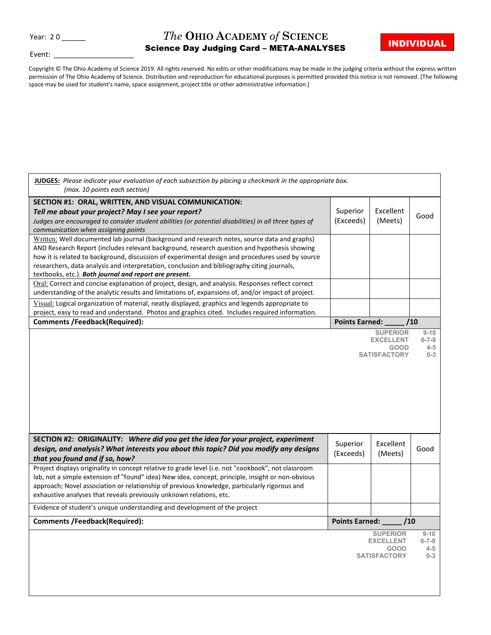## **The OHIO ACADEMY of SCIENCE**<br> **Existence Pay, Judging Card META ANALYSES**

Event:

Science Day Judging Card – META-ANALYSES

Copyright © The Ohio Academy of Science 2019. All rights reserved. No edits or other modifications may be made in the judging criteria without the express written permission of The Ohio Academy of Science. Distribution and reproduction for educational purposes is permitted provided this notice is not removed. [The following space may be used for student's name, space assignment, project title or other administrative information.]

| JUDGES: Please indicate your evaluation of each subsection by placing a checkmark in the appropriate box.<br>(max. 10 points each section)                                                                                                                                                                                                                                                                                                               |                       |                                                                           |                                               |
|----------------------------------------------------------------------------------------------------------------------------------------------------------------------------------------------------------------------------------------------------------------------------------------------------------------------------------------------------------------------------------------------------------------------------------------------------------|-----------------------|---------------------------------------------------------------------------|-----------------------------------------------|
| SECTION #1: ORAL, WRITTEN, AND VISUAL COMMUNICATION:<br>Tell me about your project? May I see your report?<br>Judges are encouraged to consider student abilities (or potential disabilities) in all three types of<br>communication when assigning points                                                                                                                                                                                               | Superior<br>(Exceeds) | Excellent<br>(Meets)                                                      | Good                                          |
| Written: Well documented lab journal (background and research notes, source data and graphs)<br>AND Research Report (includes relevant background, research question and hypothesis showing<br>how it is related to background, discussion of experimental design and procedures used by source<br>researchers, data analysis and interpretation, conclusion and bibliography citing journals,<br>textbooks, etc.). Both journal and report are present. |                       |                                                                           |                                               |
| Oral: Correct and concise explanation of project, design, and analysis. Responses reflect correct<br>understanding of the analytic results and limitations of, expansions of, and/or impact of project.                                                                                                                                                                                                                                                  |                       |                                                                           |                                               |
| Visual: Logical organization of material, neatly displayed, graphics and legends appropriate to<br>project, easy to read and understand. Photos and graphics cited. Includes required information.                                                                                                                                                                                                                                                       |                       |                                                                           |                                               |
| <b>Comments /Feedback(Required):</b>                                                                                                                                                                                                                                                                                                                                                                                                                     | <b>Points Earned:</b> |                                                                           | /10                                           |
|                                                                                                                                                                                                                                                                                                                                                                                                                                                          |                       | <b>SUPERIOR</b><br><b>EXCELLENT</b><br><b>GOOD</b><br><b>SATISFACTORY</b> | $9 - 10$<br>$6 - 7 - 8$<br>$4 - 5$<br>$0 - 3$ |
|                                                                                                                                                                                                                                                                                                                                                                                                                                                          |                       |                                                                           |                                               |
| SECTION #2: ORIGINALITY: Where did you get the idea for your project, experiment<br>design, and analysis? What interests you about this topic? Did you modify any designs                                                                                                                                                                                                                                                                                | Superior<br>(Exceeds) | Excellent<br>(Meets)                                                      | Good                                          |
| that you found and if so, how?<br>Project displays originality in concept relative to grade level (i.e. not "cookbook", not classroom<br>lab, not a simple extension of "found" idea) New idea, concept, principle, insight or non-obvious<br>approach; Novel association or relationship of previous knowledge, particularly rigorous and<br>exhaustive analyses that reveals previously unknown relations, etc.                                        |                       |                                                                           |                                               |
| Evidence of student's unique understanding and development of the project                                                                                                                                                                                                                                                                                                                                                                                |                       |                                                                           |                                               |
| <b>Comments /Feedback(Required):</b>                                                                                                                                                                                                                                                                                                                                                                                                                     | Points Earned:        | /10                                                                       |                                               |